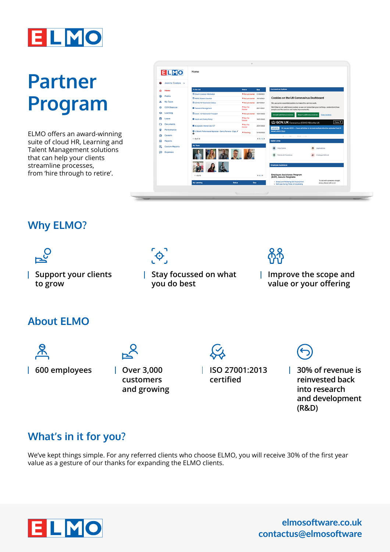

# **Partner Program**

ELMO offers an award-winning suite of cloud HR, Learning and Talent Management solutions that can help your clients streamline processes, from 'hire through to retire'.

|                | <b>ELMO</b>           | Home                                                         |                                 |            |                                                                                                                                               |
|----------------|-----------------------|--------------------------------------------------------------|---------------------------------|------------|-----------------------------------------------------------------------------------------------------------------------------------------------|
| $\bullet$      | Jasmine Cardoza v     |                                                              |                                 |            |                                                                                                                                               |
| ଳ              | Home                  | To Do List                                                   | <b>Status</b>                   | Due :      | Coronavirus Updates                                                                                                                           |
| ⊛              | Profile               | El Driver's Licence Information                              | Not yet started 01/09/2021      |            |                                                                                                                                               |
|                |                       | <b>E HMRC Starter Checklist</b>                              | Not yet started 19/10/2021      |            | <b>Cookies on the UK Coronavirus Dashboard</b>                                                                                                |
| 2.             | My Team               | El COVID-19 Vaccination Status                               | Not yet started 28/10/2021      |            | We use some essential cookies to make this service work.                                                                                      |
| 嶺              | COVIDsecure           | Password Management                                          | <sup>#</sup> Not Yet<br>Started | 23/11/2021 | We'd like to set additional cookies so we can remember your settings, understand how<br>people use the service and make improvements.         |
| ⊖              | Learning              | <b>ED</b> Covid - 19 Vaccination Passport                    | Not yet started                 | 12/01/2022 | Accept additional cookies<br><b>Reject additional cookies</b><br>View cookies                                                                 |
| ۵              | Leave                 | Health and Safety Policy                                     | <sup>#</sup> Not Yet<br>Started | 16/01/2022 | GOV.UK Coronavirus (COVID-19) in the UK<br>Menu V                                                                                             |
| ▭              | <b>Documents</b>      | Acceptable Internet Use ICT                                  | <sup>8</sup> Not Yet<br>Started | 25/01/2022 | 25 January 2022 - Cases definition to include multiple infection episodes from 31<br><b>UPDATE</b>                                            |
| ۵              | Performance           | 12 Month Performance Appraisal - Danny Parvene - Copy /<br>Ô | <b>Planning</b>                 | 31/03/2022 | January 2022 More                                                                                                                             |
| 曲              | Careers               |                                                              |                                 |            | --------<br>                                                                                                                                  |
| $\blacksquare$ | Reports               | $1 - 8$ of 18                                                |                                 | 4123       | <b>Useful Links</b>                                                                                                                           |
| e.             | <b>Custom Reports</b> | <b>My Team</b>                                               |                                 |            | $\blacksquare$<br>ø<br><b>Help Centre</b><br>Applications                                                                                     |
| Ð              | <b>Expenses</b>       |                                                              |                                 |            | ଵ<br>Policies & Procedures<br>x<br><b>Employee Referral</b>                                                                                   |
|                |                       |                                                              |                                 |            | <b>Employee Assistance</b>                                                                                                                    |
|                |                       | $1 - 8$ of $9$                                               |                                 | 412        | <b>Employee Assistance Program</b><br>(EAP), Assure Programs                                                                                  |
|                |                       | <b>My Learning</b><br><b>Status</b>                          | Due                             |            | To talk with someone straight<br>· Stress and Wellbeing Self-Assessment<br>away, please call us on<br>. Self-care During Times of Uncertainty |

#### **Why ELMO?**



**600 employees Over 3,000** 

**customers and growing** **ISO 27001:2013 certified**

**30% of revenue is reinvested back into research and development (R&D)**

### **What's in it for you?**

We've kept things simple. For any referred clients who choose ELMO, you will receive 30% of the first year value as a gesture of our thanks for expanding the ELMO clients.



**elmosoftware.co.uk contactus@elmosoftware**